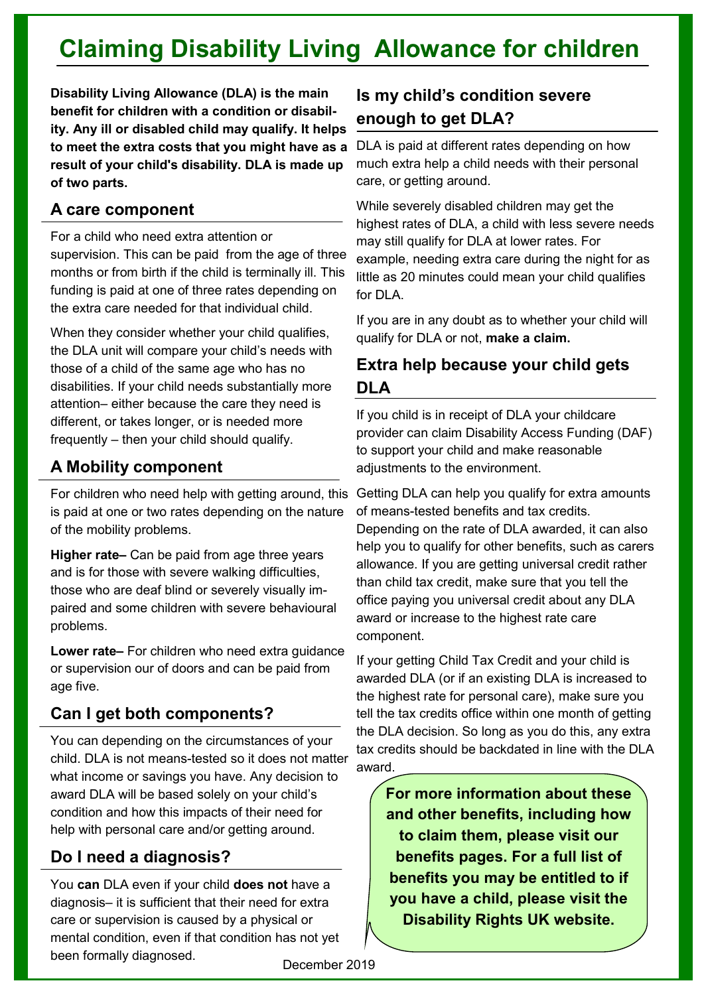# **Claiming Disability Living Allowance for children**

**Disability Living Allowance (DLA) is the main benefit for children with a condition or disability. Any ill or disabled child may qualify. It helps to meet the extra costs that you might have as a result of your child's disability. DLA is made up of two parts.**

#### **A care component**

For a child who need extra attention or supervision. This can be paid from the age of three months or from birth if the child is terminally ill. This funding is paid at one of three rates depending on the extra care needed for that individual child.

When they consider whether your child qualifies, the DLA unit will compare your child's needs with those of a child of the same age who has no disabilities. If your child needs substantially more attention– either because the care they need is different, or takes longer, or is needed more frequently – then your child should qualify.

## **A Mobility component**

is paid at one or two rates depending on the nature of the mobility problems.

**Higher rate–** Can be paid from age three years and is for those with severe walking difficulties, those who are deaf blind or severely visually impaired and some children with severe behavioural problems.

**Lower rate–** For children who need extra guidance or supervision our of doors and can be paid from age five.

# **Can I get both components?**

You can depending on the circumstances of your child. DLA is not means-tested so it does not matter what income or savings you have. Any decision to award DLA will be based solely on your child's condition and how this impacts of their need for help with personal care and/or getting around.

## **Do I need a diagnosis?**

You **can** DLA even if your child **does not** have a diagnosis– it is sufficient that their need for extra care or supervision is caused by a physical or mental condition, even if that condition has not yet been formally diagnosed.

## **Is my child's condition severe enough to get DLA?**

DLA is paid at different rates depending on how much extra help a child needs with their personal care, or getting around.

While severely disabled children may get the highest rates of DLA, a child with less severe needs may still qualify for DLA at lower rates. For example, needing extra care during the night for as little as 20 minutes could mean your child qualifies for DLA.

If you are in any doubt as to whether your child will qualify for DLA or not, **make a claim.**

## **Extra help because your child gets DLA**

If you child is in receipt of DLA your childcare provider can claim Disability Access Funding (DAF) to support your child and make reasonable adjustments to the environment.

For children who need help with getting around, this Getting DLA can help you qualify for extra amounts of means-tested benefits and tax credits. Depending on the rate of DLA awarded, it can also help you to qualify for other benefits, such as carers allowance. If you are getting universal credit rather than child tax credit, make sure that you tell the office paying you universal credit about any DLA award or increase to the highest rate care component.

> If your getting Child Tax Credit and your child is awarded DLA (or if an existing DLA is increased to the highest rate for personal care), make sure you tell the tax credits office within one month of getting the DLA decision. So long as you do this, any extra tax credits should be backdated in line with the DLA award.

**For more information about these and other benefits, including how to claim them, please visit our benefits pages. For a full list of benefits you may be entitled to if you have a child, please visit the Disability Rights UK website.**